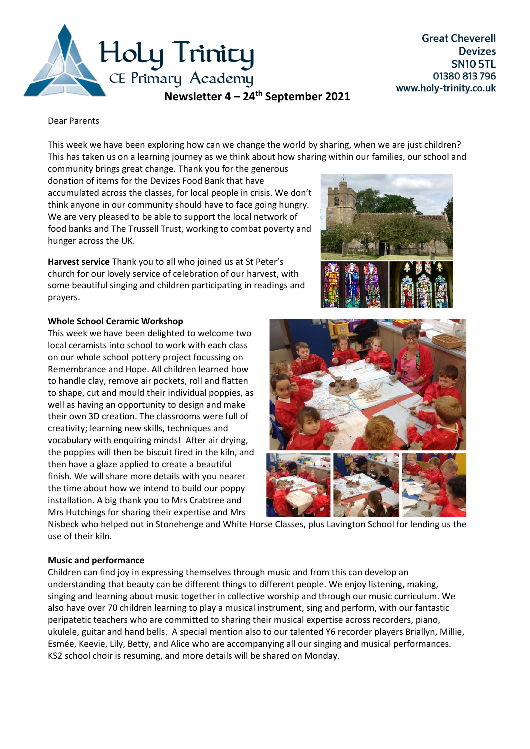

Dear Parents

This week we have been exploring how can we change the world by sharing, when we are just children? This has taken us on a learning journey as we think about how sharing within our families, our school and

community brings great change. Thank you for the generous donation of items for the Devizes Food Bank that have accumulated across the classes, for local people in crisis. We don't think anyone in our community should have to face going hungry. We are very pleased to be able to support the local network of food banks and The Trussell Trust, working to combat poverty and hunger across the UK.

**Harvest service** Thank you to all who joined us at St Peter's church for our lovely service of celebration of our harvest, with some beautiful singing and children participating in readings and prayers.

## **Whole School Ceramic Workshop**

This week we have been delighted to welcome two local ceramists into school to work with each class on our whole school pottery project focussing on Remembrance and Hope. All children learned how to handle clay, remove air pockets, roll and flatten to shape, cut and mould their individual poppies, as well as having an opportunity to design and make their own 3D creation. The classrooms were full of creativity; learning new skills, techniques and vocabulary with enquiring minds! After air drying, the poppies will then be biscuit fired in the kiln, and then have a glaze applied to create a beautiful finish. We will share more details with you nearer the time about how we intend to build our poppy installation. A big thank you to Mrs Crabtree and Mrs Hutchings for sharing their expertise and Mrs





Nisbeck who helped out in Stonehenge and White Horse Classes, plus Lavington School for lending us the use of their kiln.

## **Music and performance**

Children can find joy in expressing themselves through music and from this can develop an understanding that beauty can be different things to different people. We enjoy listening, making, singing and learning about music together in collective worship and through our music curriculum. We also have over 70 children learning to play a musical instrument, sing and perform, with our fantastic peripatetic teachers who are committed to sharing their musical expertise across recorders, piano, ukulele, guitar and hand bells. A special mention also to our talented Y6 recorder players Briallyn, Millie, Esmée, Keevie, Lily, Betty, and Alice who are accompanying all our singing and musical performances. KS2 school choir is resuming, and more details will be shared on Monday.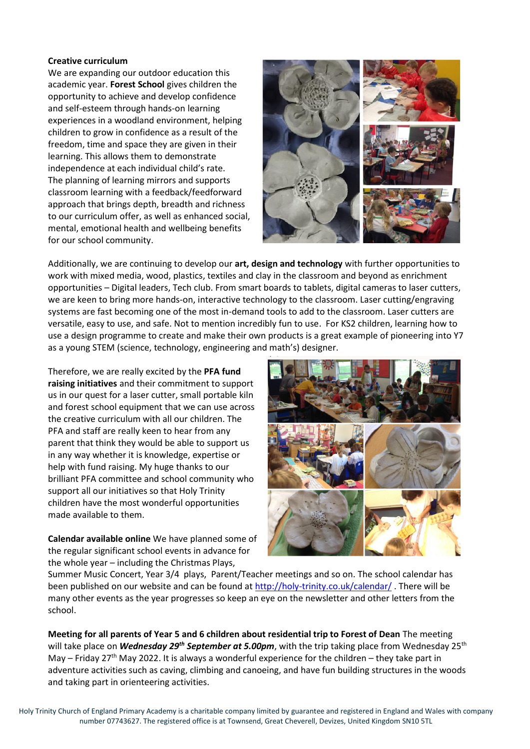## **Creative curriculum**

We are expanding our outdoor education this academic year. **Forest School** gives children the opportunity to achieve and develop confidence and self-esteem through hands-on learning experiences in a woodland environment, helping children to grow in confidence as a result of the freedom, time and space they are given in their learning. This allows them to demonstrate independence at each individual child's rate. The planning of learning mirrors and supports classroom learning with a feedback/feedforward approach that brings depth, breadth and richness to our curriculum offer, as well as enhanced social, mental, emotional health and wellbeing benefits for our school community.



Additionally, we are continuing to develop our **art, design and technology** with further opportunities to work with mixed media, wood, plastics, textiles and clay in the classroom and beyond as enrichment opportunities – Digital leaders, Tech club. From smart boards to tablets, digital cameras to laser cutters, we are keen to bring more hands-on, interactive technology to the classroom. Laser cutting/engraving systems are fast becoming one of the most in-demand tools to add to the classroom. Laser cutters are versatile, easy to use, and safe. Not to mention incredibly fun to use. For KS2 children, learning how to use a design programme to create and make their own products is a great example of pioneering into Y7 as a young STEM (science, technology, engineering and math's) designer.

Therefore, we are really excited by the **PFA fund raising initiatives** and their commitment to support us in our quest for a laser cutter, small portable kiln and forest school equipment that we can use across the creative curriculum with all our children. The PFA and staff are really keen to hear from any parent that think they would be able to support us in any way whether it is knowledge, expertise or help with fund raising. My huge thanks to our brilliant PFA committee and school community who support all our initiatives so that Holy Trinity children have the most wonderful opportunities made available to them.

**Calendar available online** We have planned some of the regular significant school events in advance for the whole year – including the Christmas Plays,



Summer Music Concert, Year 3/4 plays, Parent/Teacher meetings and so on. The school calendar has been published on our website and can be found at<http://holy-trinity.co.uk/calendar/> . There will be many other events as the year progresses so keep an eye on the newsletter and other letters from the school.

**Meeting for all parents of Year 5 and 6 children about residential trip to Forest of Dean** The meeting will take place on *Wednesday 29th September at 5.00pm*, with the trip taking place from Wednesday 25th May – Friday 27<sup>th</sup> May 2022. It is always a wonderful experience for the children – they take part in adventure activities such as caving, climbing and canoeing, and have fun building structures in the woods and taking part in orienteering activities.

Holy Trinity Church of England Primary Academy is a charitable company limited by guarantee and registered in England and Wales with company number 07743627. The registered office is at Townsend, Great Cheverell, Devizes, United Kingdom SN10 5TL